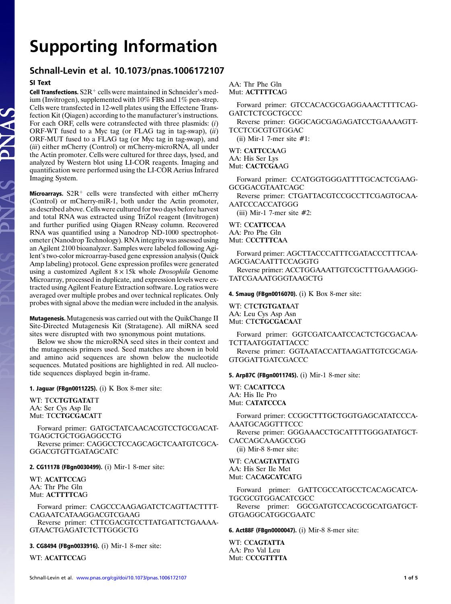# Supporting Information

## Schnall-Levin et al. 10.1073/pnas.1006172107

.<br>Cell Text **SI Text**<br>**Cell Transfections.** S2R<sup>+</sup> cells were maintained in Schneider's med-<br>jum (Invitrogen), supplemented with 10% EBS and 1% pen-strep. ium (Invitrogen), supplemented with 10% FBS and 1% pen-strep. Cells were transfected in 12-well plates using the Effectene Transfection Kit (Qiagen) according to the manufacturer's instructions. For each ORF, cells were cotransfected with three plasmids:  $(i)$ ORF-WT fused to a Myc tag (or FLAG tag in tag-swap),  $(ii)$ ORF-MUT fused to a FLAG tag (or Myc tag in tag-swap), and (iii) either mCherry (Control) or mCherry-microRNA, all under the Actin promoter. Cells were cultured for three days, lysed, and analyzed by Western blot using LI-COR reagents. Imaging and quantification were performed using the LI-COR Aerius Infrared Imaging System.

Microarrays.  $S2R<sup>+</sup>$  cells were transfected with either mCherry (Control) or mCherry-miR-1, both under the Actin promoter, as described above. Cells were cultured for two days before harvest and total RNA was extracted using TriZol reagent (Invitrogen) and further purified using Qiagen RNeasy column. Recovered RNA was quantified using a Nanodrop ND-1000 spectrophotometer (Nanodrop Technology). RNA integrity was assessed using an Agilent 2100 bioanalyzer. Samples were labeled following Agi-lent's two-color microarray-based gene expression analysis (Quick Amp labeling) protocol. Gene expression profiles were generated using a customized Agilent 8 *×* 15k whole Drosophila Genome Microarray, processed in duplicate, and expression levels were extracted using Agilent Feature Extraction software. Log ratios were averaged over multiple probes and over technical replicates. Only probes with signal above the median were included in the analysis.

Mutagenesis. Mutagenesis was carried out with the QuikChange II Site-Directed Mutagenesis Kit (Stratagene). All miRNA seed sites were disrupted with two synonymous point mutations.

Below we show the microRNA seed sites in their context and the mutagenesis primers used. Seed matches are shown in bold and amino acid sequences are shown below the nucleotide sequences. Mutated positions are highlighted in red. All nucleotide sequences displayed begin in-frame.

1. Jaguar (FBgn0011225). (i) K Box 8-mer site:

WT: TCCTGTGATATT AA: Ser Cys Asp Ile Mut: TCCTGCGACATT

Forward primer: GATGCTATCAACACGTCCTGCGACAT-TGAGCTGCTGGAGGCCTG

Reverse primer: CAGGCCTCCAGCAGCTCAATGTCGCA-GGACGTGTTGATAGCATC

2. CG11178 (FBgn0030499). (i) Mir-1 8-mer site:

WT: ACATTCCAG AA: Thr Phe Gln Mut: ACTTTTCAG

Forward primer: CAGCCCAAGAGATCTCAGTTACTTTT-CAGAATCATAAGGACGTCGAAG Reverse primer: CTTCGACGTCCTTATGATTCTGAAAA-GTAACTGAGATCTCTTGGGCTG

3. CG8494 (FBgn0033916). (i) Mir-1 8-mer site:

WT: ACATTCCAG

AA: Thr Phe Gln Mut: ACTTTTCAG

Forward primer: GTCCACACGCGAGGAAACTTTTCAG-**GATCTCTCGCTGCCC** 

Reverse primer: GGGCAGCGAGAGATCCTGAAAAGTT-TCCTCGCGTGTGGAC

(ii) Mir-1 7-mer site #1:

WT: CATTCCAAG AA: His Ser Lys Mut: CACTCGAAG

Forward primer: CCATGGTGGGATTTTGCACTCGAAG-GCGGACGTAATCAGC

Reverse primer: CTGATTACGTCCGCCTTCGAGTGCAA-AATCCCACCATGGG

(iii) Mir-1 7-mer site  $#2$ :

#### WT: CCATTCCAA AA: Pro Phe Gln Mut: CCCTTTCAA

Forward primer: AGCTTACCCATTTCGATACCCTTTCAA-AGCGACAATTTCCAGGTG

Reverse primer: ACCTGGAAATTGTCGCTTTGAAAGGG-TATCGAAATGGGTAAGCTG

4. Smaug (FBgn0016070). (i) K Box 8-mer site:

WT: CTCTGTGATAAT AA: Leu Cys Asp Asn Mut: CTCTGCGACAAT

Forward primer: GGTCGATCAATCCACTCTGCGACAA-TCTTAATGGTATTACCC Reverse primer: GGTAATACCATTAAGATTGTCGCAGA-

GTGGATTGATCGACCC

5. Arp87C (FBgn0011745). (i) Mir-1 8-mer site:

WT: CACATTCCA AA: His Ile Pro Mut: CATATCCCA

Forward primer: CCGGCTTTGCTGGTGAGCATATCCCA-AAATGCAGGTTTCCC

Reverse primer: GGGAAACCTGCATTTTGGGATATGCT-CACCAGCAAAGCCGG

(ii) Mir-8 8-mer site:

WT: CACAGTATTATG AA: His Ser Ile Met Mut: CACAGCATCATG

Forward primer: GATTCGCCATGCCTCACAGCATCA-TGCGCGTGGACATCGCC

Reverse primer: GGCGATGTCCACGCGCATGATGCT-GTGAGGCATGGCGAATC

6. Act88F (FBgn0000047). (i) Mir-8 8-mer site:

WT: CCAGTATTA AA: Pro Val Leu Mut: CCCGTTTTA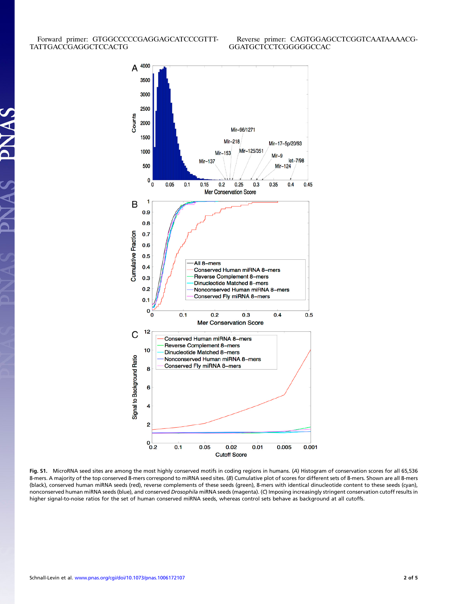**SV** 

 $\leq$ 



Fig. S1. MicroRNA seed sites are among the most highly conserved motifs in coding regions in humans. (A) Histogram of conservation scores for all 65,536 8-mers. A majority of the top conserved 8-mers correspond to miRNA seed sites. (B) Cumulative plot of scores for different sets of 8-mers. Shown are all 8-mers (black), conserved human miRNA seeds (red), reverse complements of these seeds (green), 8-mers with identical dinucleotide content to these seeds (cyan), nonconserved human miRNA seeds (blue), and conserved Drosophila miRNA seeds (magenta). (C) Imposing increasingly stringent conservation cutoff results in higher signal-to-noise ratios for the set of human conserved miRNA seeds, whereas control sets behave as background at all cutoffs.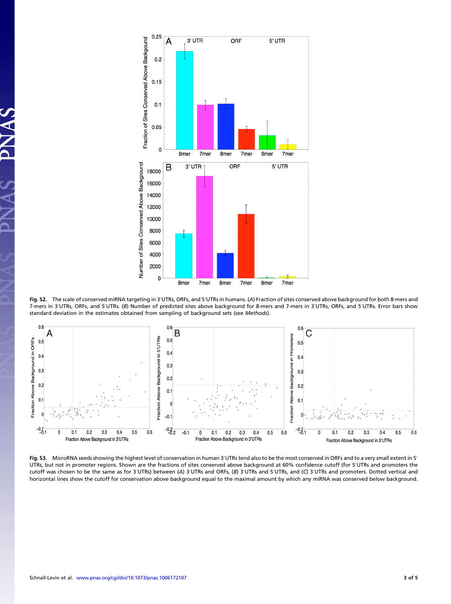

Fig. S2. The scale of conserved miRNA targeting in 3′UTRs, ORFs, and 5′UTRs in humans. (A) Fraction of sites conserved above background for both 8-mers and 7-mers in 3′UTRs, ORFs, and 5′UTRs. (B) Number of predicted sites above background for 8-mers and 7-mers in 3′UTRs, ORFs, and 5′UTRs. Error bars show standard deviation in the estimates obtained from sampling of background sets (see Methods).



Fig. S3. MicroRNA seeds showing the highest level of conservation in human 3′UTRs tend also to be the most conserved in ORFs and to a very small extent in 5′ F<mark>ig. S3.</mark> MicroRNA seeds showing the highest level of conservation in human 3′UTRs tend also to be the most conserved in ORFs and to a very small extent in 5′<br>UTRs, but not in promoter regions. Shown are the fractions of UTRs, but not in promoter regions. Shown are the fractions of sites conserved above background at 60% confidence cutoff (for 5′UTRs and promoters the cutoff was chosen to be the same as for 3′UTRs) between (A) 3′UTRs and O horizontal lines show the cutoff for conservation above background equal to the maximal amount by which any miRNA was conserved below background.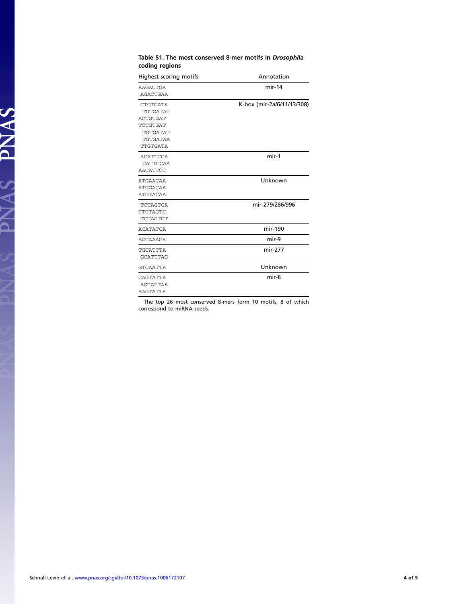| Highest scoring motifs                                                                                | Annotation                 |
|-------------------------------------------------------------------------------------------------------|----------------------------|
| <b>AAGACTGA</b><br><b>AGACTGAA</b>                                                                    | $mir-14$                   |
| <b>CTGTGATA</b><br>TGTGATAC<br><b>ACTGTGAT</b><br>TCTGTGAT<br>TGTGATAT<br>TGTGATAA<br><b>TTGTGATA</b> | K-box (mir-2a/6/11/13/308) |
| <b>ACATTCCA</b><br>CATTCCAA<br><b>AACATTCC</b>                                                        | $mir-1$                    |
| <b>ATGAACAA</b><br><b>ATGGACAA</b><br><b>ATGTACAA</b>                                                 | Unknown                    |
| <b>TCTAGTCA</b><br><b>CTCTAGTC</b><br>TCTAGTCT                                                        | mir-279/286/996            |
| <b>ACATATCA</b>                                                                                       | mir-190                    |
| <b>ACCAAAGA</b>                                                                                       | mir-9                      |
| TGCATTTA<br><b>GCATTTAG</b>                                                                           | mir-277                    |
| <b>GTCAATTA</b>                                                                                       | Unknown                    |
| CAGTATTA<br><b>AGTATTAA</b><br><b>AAGTATTA</b>                                                        | mir-8                      |

#### Table S1. The most conserved 8-mer motifs in Drosophila coding regions

The top 26 most conserved 8-mers form 10 motifs, 8 of which correspond to miRNA seeds.